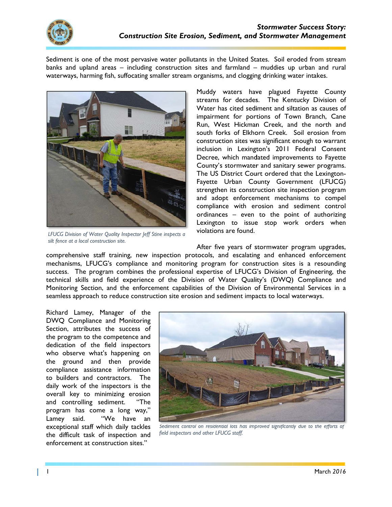

Sediment is one of the most pervasive water pollutants in the United States. Soil eroded from stream banks and upland areas - including construction sites and farmland - muddies up urban and rural waterways, harming fish, suffocating smaller stream organisms, and clogging drinking water intakes.



LFUCG Division of Water Quality Inspector Jeff Stine inspects a silt fence at a local construction site.

Muddy waters have plagued Fayette County streams for decades. The Kentucky Division of Water has cited sediment and siltation as causes of impairment for portions of Town Branch, Cane Run, West Hickman Creek, and the north and south forks of Elkhorn Creek. Soil erosion from construction sites was significant enough to warrant inclusion in Lexington's 2011 Federal Consent Decree, which mandated improvements to Fayette County's stormwater and sanitary sewer programs. The US District Court ordered that the Lexington-Fayette Urban County Government (LFUCG) strengthen its construction site inspection program and adopt enforcement mechanisms to compel compliance with erosion and sediment control ordinances - even to the point of authorizing Lexington to issue stop work orders when violations are found.

After five years of stormwater program upgrades, comprehensive staff training, new inspection protocols, and escalating and enhanced enforcement mechanisms, LFUCG's compliance and monitoring program for construction sites is a resounding success. The program combines the professional expertise of LFUCG's Division of Engineering, the technical skills and field experience of the Division of Water Quality's (DWQ) Compliance and Monitoring Section, and the enforcement capabilities of the Division of Environmental Services in a seamless approach to reduce construction site erosion and sediment impacts to local waterways.

Richard Lamey, Manager of the DWO Compliance and Monitoring Section, attributes the success of the program to the competence and dedication of the field inspectors who observe what's happening on the ground and then provide compliance assistance information to builders and contractors. The daily work of the inspectors is the overall key to minimizing erosion and controlling sediment. "The program has come a long way," Lamey said. "We have an exceptional staff which daily tackles the difficult task of inspection and enforcement at construction sites."



Sediment control on residential lots has improved significantly due to the efforts of field inspectors and other LFUCG staff.